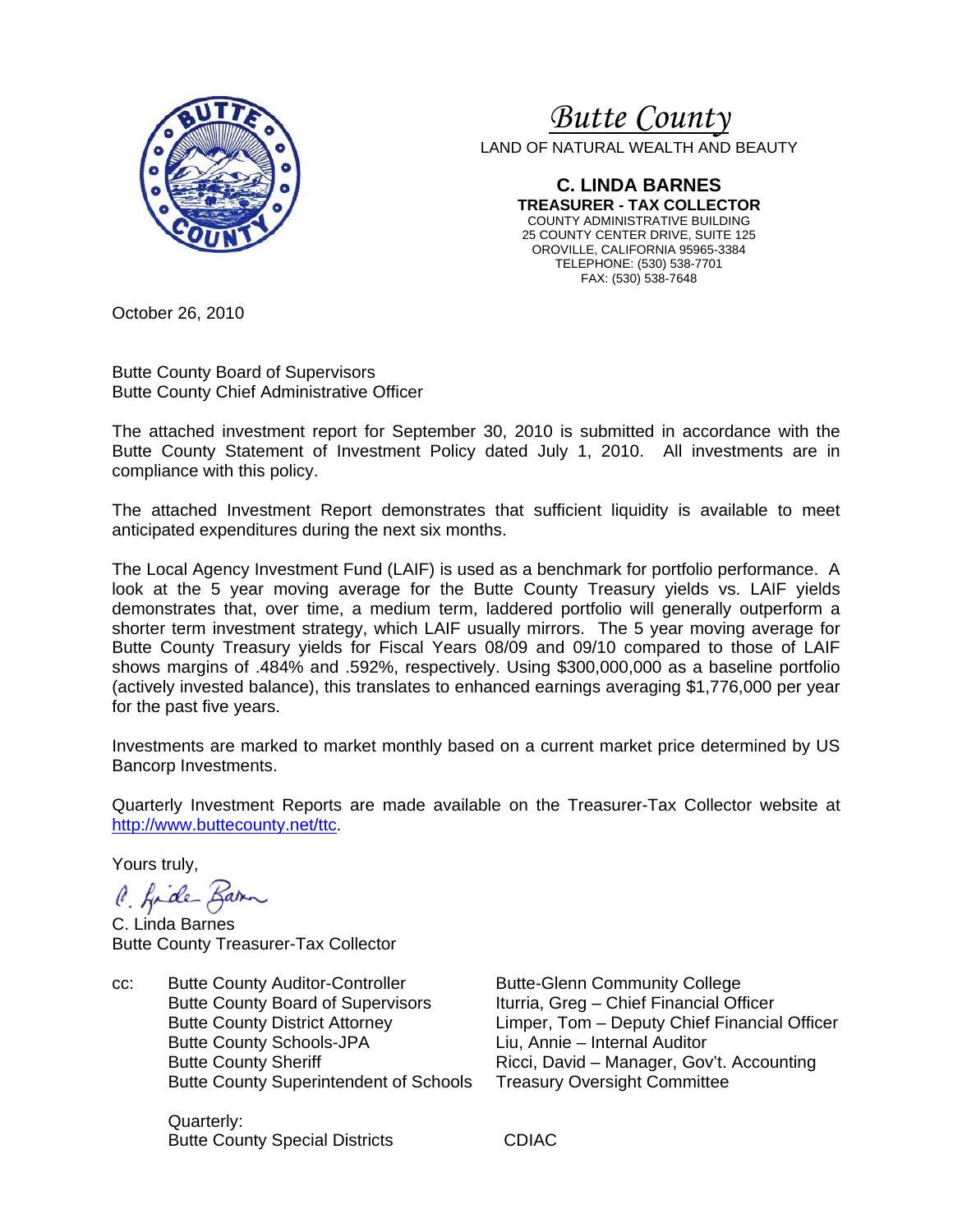

# *Butte County*

LAND OF NATURAL WEALTH AND BEAUTY

**C. LINDA BARNES TREASURER - TAX COLLECTOR**  COUNTY ADMINISTRATIVE BUILDING 25 COUNTY CENTER DRIVE, SUITE 125 OROVILLE, CALIFORNIA 95965-3384 TELEPHONE: (530) 538-7701 FAX: (530) 538-7648

October 26, 2010

Butte County Board of Supervisors Butte County Chief Administrative Officer

The attached investment report for September 30, 2010 is submitted in accordance with the Butte County Statement of Investment Policy dated July 1, 2010. All investments are in compliance with this policy.

The attached Investment Report demonstrates that sufficient liquidity is available to meet anticipated expenditures during the next six months.

The Local Agency Investment Fund (LAIF) is used as a benchmark for portfolio performance. A look at the 5 year moving average for the Butte County Treasury yields vs. LAIF yields demonstrates that, over time, a medium term, laddered portfolio will generally outperform a shorter term investment strategy, which LAIF usually mirrors. The 5 year moving average for Butte County Treasury yields for Fiscal Years 08/09 and 09/10 compared to those of LAIF shows margins of .484% and .592%, respectively. Using \$300,000,000 as a baseline portfolio (actively invested balance), this translates to enhanced earnings averaging \$1,776,000 per year for the past five years.

Investments are marked to market monthly based on a current market price determined by US Bancorp Investments.

Quarterly Investment Reports are made available on the Treasurer-Tax Collector website at <http://www.buttecounty.net/ttc>.

Yours truly,

C. fide Barn

C. Linda Barnes Butte County Treasurer-Tax Collector

cc: Butte County Auditor-Controller Butte-Glenn Community College Butte County Board of Supervisors Iturria, Greg – Chief Financial Officer Butte County Schools-JPA Liu, Annie – Internal Auditor Butte County Superintendent of Schools Treasury Oversight Committee

 Quarterly: Butte County Special Districts **CDIAC** 

 Butte County District Attorney Limper, Tom – Deputy Chief Financial Officer Butte County Sheriff **Ricci, David – Manager, Gov't. Accounting**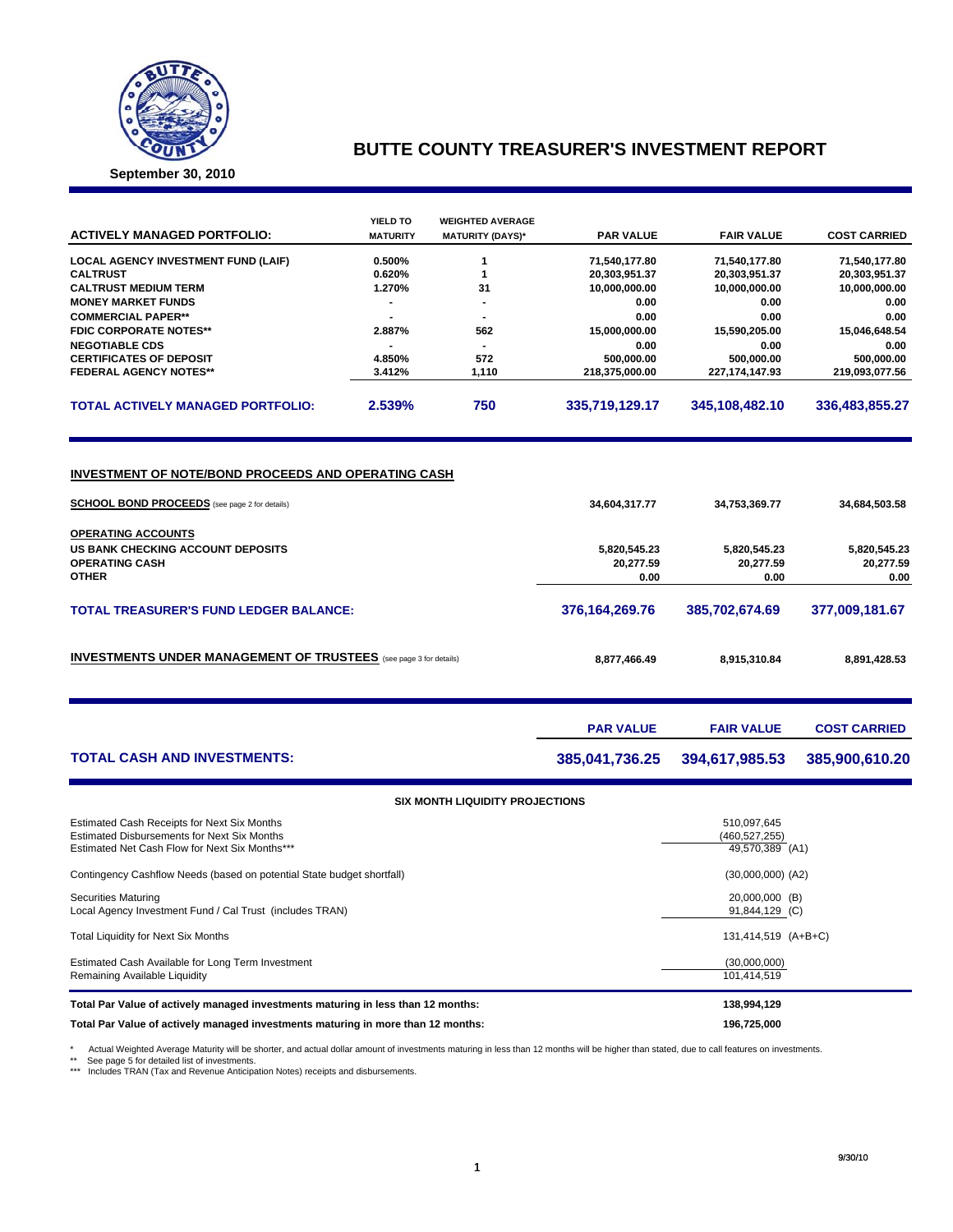

## **BUTTE COUNTY TREASURER'S INVESTMENT REPORT**

**September 30, 2010**

| <b>ACTIVELY MANAGED PORTFOLIO:</b>                                                                                 | YIELD TO<br><b>MATURITY</b> | <b>WEIGHTED AVERAGE</b>                | <b>PAR VALUE</b>                  | <b>FAIR VALUE</b>                  | <b>COST CARRIED</b>   |
|--------------------------------------------------------------------------------------------------------------------|-----------------------------|----------------------------------------|-----------------------------------|------------------------------------|-----------------------|
|                                                                                                                    |                             | <b>MATURITY (DAYS)*</b>                |                                   |                                    |                       |
| <b>LOCAL AGENCY INVESTMENT FUND (LAIF)</b>                                                                         | 0.500%                      | 1                                      | 71,540,177.80                     | 71,540,177.80                      | 71,540,177.80         |
| <b>CALTRUST</b>                                                                                                    | 0.620%                      | 1                                      | 20,303,951.37                     | 20,303,951.37                      | 20,303,951.37         |
| <b>CALTRUST MEDIUM TERM</b>                                                                                        | 1.270%<br>31                |                                        | 10,000,000.00                     | 10,000,000.00                      | 10,000,000.00         |
| <b>MONEY MARKET FUNDS</b>                                                                                          | $\blacksquare$              |                                        | 0.00                              | 0.00                               | 0.00                  |
| <b>COMMERCIAL PAPER**</b><br><b>FDIC CORPORATE NOTES**</b>                                                         | 2.887%<br>562               |                                        | 0.00<br>15,000,000.00             | 0.00                               | 0.00                  |
| <b>NEGOTIABLE CDS</b>                                                                                              | $\overline{\phantom{a}}$    |                                        | 0.00                              | 15,590,205.00<br>0.00              | 15,046,648.54<br>0.00 |
| <b>CERTIFICATES OF DEPOSIT</b>                                                                                     | 4.850%                      | 572                                    | 500,000.00                        | 500,000.00                         | 500,000.00            |
| <b>FEDERAL AGENCY NOTES**</b>                                                                                      | 3.412%                      | 1,110                                  | 218,375,000.00                    | 227,174,147.93                     | 219,093,077.56        |
| <b>TOTAL ACTIVELY MANAGED PORTFOLIO:</b>                                                                           | 2.539%                      | 750                                    | 335,719,129.17                    | 345,108,482.10                     | 336,483,855.27        |
| <u>INVESTMENT OF NOTE/BOND PROCEEDS AND OPERATING CASH</u><br><b>SCHOOL BOND PROCEEDS</b> (see page 2 for details) |                             |                                        | 34,604,317.77                     | 34,753,369.77                      | 34,684,503.58         |
|                                                                                                                    |                             |                                        |                                   |                                    |                       |
| <b>OPERATING ACCOUNTS</b><br>US BANK CHECKING ACCOUNT DEPOSITS<br><b>OPERATING CASH</b><br><b>OTHER</b>            |                             | 5,820,545.23<br>20,277.59<br>0.00      | 5,820,545.23<br>20,277.59<br>0.00 | 5,820,545.23<br>20,277.59<br>0.00  |                       |
| <b>TOTAL TREASURER'S FUND LEDGER BALANCE:</b>                                                                      |                             |                                        | 376, 164, 269. 76                 | 385,702,674.69                     | 377,009,181.67        |
| <b>INVESTMENTS UNDER MANAGEMENT OF TRUSTEES</b> (see page 3 for details)                                           |                             |                                        | 8,877,466.49                      | 8,915,310.84                       | 8,891,428.53          |
|                                                                                                                    |                             |                                        | <b>PAR VALUE</b>                  | <b>FAIR VALUE</b>                  | <b>COST CARRIED</b>   |
| <b>TOTAL CASH AND INVESTMENTS:</b>                                                                                 |                             | 385,041,736.25                         | 394,617,985.53                    | 385,900,610.20                     |                       |
|                                                                                                                    |                             | <b>SIX MONTH LIQUIDITY PROJECTIONS</b> |                                   |                                    |                       |
| Estimated Cash Receipts for Next Six Months                                                                        |                             |                                        |                                   | 510,097,645                        |                       |
| <b>Estimated Disbursements for Next Six Months</b><br>Estimated Net Cash Flow for Next Six Months***               |                             |                                        |                                   | (460, 527, 255)<br>49,570,389 (A1) |                       |
| Contingency Cashflow Needs (based on potential State budget shortfall)                                             |                             |                                        | $(30,000,000)$ $(A2)$             |                                    |                       |
| Securities Maturing<br>Local Agency Investment Fund / Cal Trust (includes TRAN)                                    |                             |                                        | 20,000,000 (B)<br>91,844,129 (C)  |                                    |                       |
| <b>Total Liquidity for Next Six Months</b>                                                                         |                             | 131,414,519 (A+B+C)                    |                                   |                                    |                       |
| Estimated Cash Available for Long Term Investment<br>Remaining Available Liquidity                                 |                             |                                        | (30,000,000)<br>101,414,519       |                                    |                       |
| Total Par Value of actively managed investments maturing in less than 12 months:                                   |                             |                                        |                                   | 138,994,129                        |                       |
| Total Par Value of actively managed investments maturing in more than 12 months:                                   |                             | 196,725,000                            |                                   |                                    |                       |

\* Actual Weighted Average Maturity will be shorter, and actual dollar amount of investments maturing in less than 12 months will be higher than stated, due to call features on investments.<br>\*\* See page 5 for detailed list o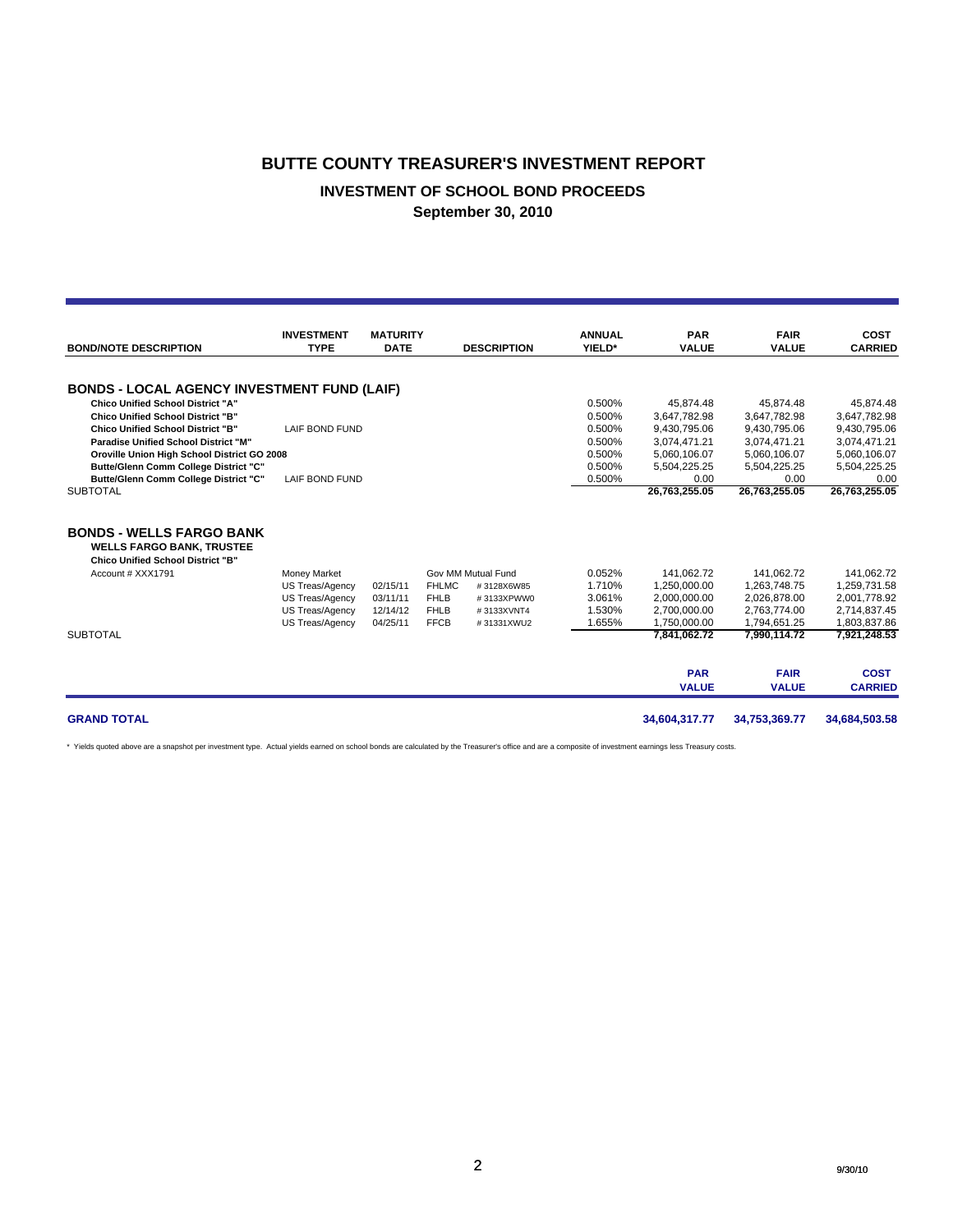#### **BUTTE COUNTY TREASURER'S INVESTMENT REPORT**

### **INVESTMENT OF SCHOOL BOND PROCEEDS**

**September 30, 2010**

|                                                                                                                 | <b>INVESTMENT</b>      | <b>MATURITY</b> |              |                    | <b>ANNUAL</b> | <b>PAR</b>                 | <b>FAIR</b>                 | <b>COST</b>                   |
|-----------------------------------------------------------------------------------------------------------------|------------------------|-----------------|--------------|--------------------|---------------|----------------------------|-----------------------------|-------------------------------|
| <b>BOND/NOTE DESCRIPTION</b>                                                                                    | <b>TYPE</b>            | <b>DATE</b>     |              | <b>DESCRIPTION</b> | YIELD*        | <b>VALUE</b>               | <b>VALUE</b>                | <b>CARRIED</b>                |
| <b>BONDS - LOCAL AGENCY INVESTMENT FUND (LAIF)</b>                                                              |                        |                 |              |                    |               |                            |                             |                               |
| <b>Chico Unified School District "A"</b>                                                                        |                        |                 |              |                    | 0.500%        | 45,874.48                  | 45.874.48                   | 45,874.48                     |
| <b>Chico Unified School District "B"</b>                                                                        |                        |                 |              |                    | 0.500%        | 3,647,782.98               | 3.647.782.98                | 3.647.782.98                  |
| <b>Chico Unified School District "B"</b>                                                                        | LAIF BOND FUND         |                 |              |                    | 0.500%        | 9,430,795.06               | 9,430,795.06                | 9,430,795.06                  |
| Paradise Unified School District "M"                                                                            |                        |                 |              |                    | 0.500%        | 3,074,471.21               | 3,074,471.21                | 3,074,471.21                  |
| Oroville Union High School District GO 2008                                                                     |                        |                 |              |                    | 0.500%        | 5.060.106.07               | 5.060.106.07                | 5,060,106.07                  |
| Butte/Glenn Comm College District "C"                                                                           |                        |                 |              |                    | 0.500%        | 5,504,225.25               | 5,504,225.25                | 5,504,225.25                  |
| Butte/Glenn Comm College District "C"                                                                           | <b>LAIF BOND FUND</b>  |                 |              |                    | 0.500%        | 0.00                       | 0.00                        | 0.00                          |
| <b>SUBTOTAL</b>                                                                                                 |                        |                 |              |                    |               | 26,763,255.05              | 26,763,255.05               | 26,763,255.05                 |
| <b>BONDS - WELLS FARGO BANK</b><br><b>WELLS FARGO BANK, TRUSTEE</b><br><b>Chico Unified School District "B"</b> |                        |                 |              |                    |               |                            |                             |                               |
| Account # XXX1791                                                                                               | <b>Money Market</b>    |                 |              | Gov MM Mutual Fund | 0.052%        | 141.062.72                 | 141.062.72                  | 141.062.72                    |
|                                                                                                                 | <b>US Treas/Agency</b> | 02/15/11        | <b>FHLMC</b> | #3128X6W85         | 1.710%        | 1,250,000.00               | 1.263.748.75                | 1,259,731.58                  |
|                                                                                                                 | <b>US Treas/Agency</b> | 03/11/11        | <b>FHLB</b>  | #3133XPWW0         | 3.061%        | 2,000,000.00               | 2,026,878.00                | 2,001,778.92                  |
|                                                                                                                 | <b>US Treas/Agency</b> | 12/14/12        | <b>FHLB</b>  | #3133XVNT4         | 1.530%        | 2,700,000.00               | 2,763,774.00                | 2,714,837.45                  |
|                                                                                                                 | <b>US Treas/Agency</b> | 04/25/11        | <b>FFCB</b>  | #31331XWU2         | 1.655%        | 1,750,000.00               | 1,794,651.25                | 1,803,837.86                  |
| <b>SUBTOTAL</b>                                                                                                 |                        |                 |              |                    |               | 7,841,062.72               | 7,990,114.72                | 7,921,248.53                  |
|                                                                                                                 |                        |                 |              |                    |               | <b>PAR</b><br><b>VALUE</b> | <b>FAIR</b><br><b>VALUE</b> | <b>COST</b><br><b>CARRIED</b> |
| <b>GRAND TOTAL</b>                                                                                              |                        |                 |              |                    |               | 34,604,317.77              | 34,753,369.77               | 34,684,503.58                 |

\* Yields quoted above are a snapshot per investment type. Actual yields earned on school bonds are calculated by the Treasurer's office and are a composite of investment earnings less Treasury costs.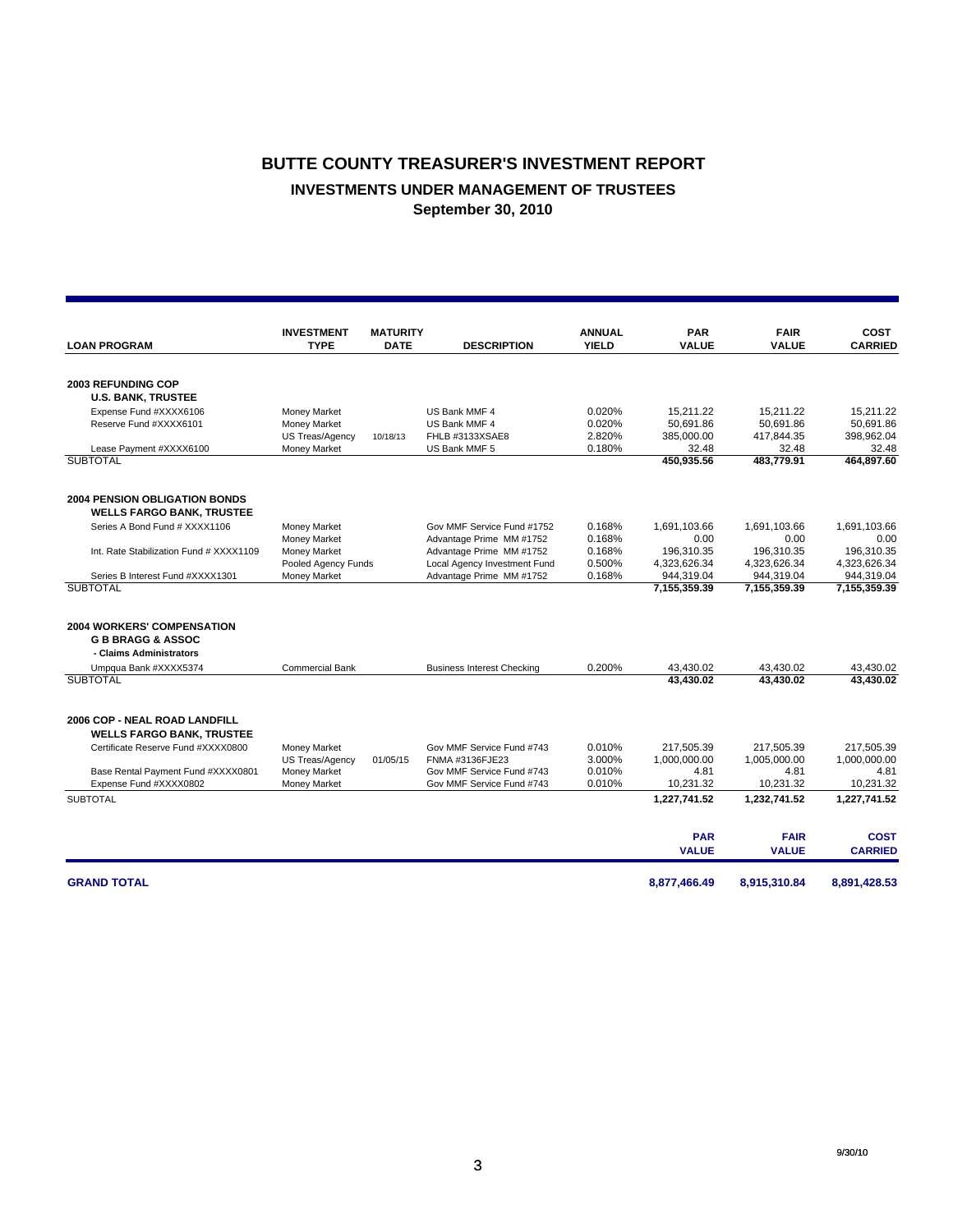## **BUTTE COUNTY TREASURER'S INVESTMENT REPORT INVESTMENTS UNDER MANAGEMENT OF TRUSTEES September 30, 2010**

|                                            | <b>INVESTMENT</b>      | <b>MATURITY</b> |                                   | <b>ANNUAL</b> | <b>PAR</b>          | <b>FAIR</b>         | <b>COST</b>         |
|--------------------------------------------|------------------------|-----------------|-----------------------------------|---------------|---------------------|---------------------|---------------------|
| <b>LOAN PROGRAM</b>                        | <b>TYPE</b>            | <b>DATE</b>     | <b>DESCRIPTION</b>                | <b>YIELD</b>  | <b>VALUE</b>        | <b>VALUE</b>        | <b>CARRIED</b>      |
|                                            |                        |                 |                                   |               |                     |                     |                     |
| <b>2003 REFUNDING COP</b>                  |                        |                 |                                   |               |                     |                     |                     |
| <b>U.S. BANK, TRUSTEE</b>                  |                        |                 |                                   |               |                     |                     |                     |
| Expense Fund #XXXX6106                     | Money Market           |                 | US Bank MMF 4                     | 0.020%        | 15,211.22           | 15.211.22           | 15.211.22           |
| Reserve Fund #XXXX6101                     | Money Market           |                 | US Bank MMF 4                     | 0.020%        | 50,691.86           | 50,691.86           | 50.691.86           |
|                                            | <b>US Treas/Agency</b> | 10/18/13        | FHLB #3133XSAE8                   | 2.820%        | 385,000.00          | 417,844.35          | 398,962.04          |
| Lease Payment #XXXX6100<br><b>SUBTOTAL</b> | Money Market           |                 | US Bank MMF 5                     | 0.180%        | 32.48<br>450,935.56 | 32.48<br>483.779.91 | 32.48<br>464,897.60 |
|                                            |                        |                 |                                   |               |                     |                     |                     |
| <b>2004 PENSION OBLIGATION BONDS</b>       |                        |                 |                                   |               |                     |                     |                     |
| <b>WELLS FARGO BANK, TRUSTEE</b>           |                        |                 |                                   |               |                     |                     |                     |
| Series A Bond Fund # XXXX1106              | Money Market           |                 | Gov MMF Service Fund #1752        | 0.168%        | 1.691.103.66        | 1,691,103.66        | 1,691,103.66        |
|                                            | Money Market           |                 | Advantage Prime MM #1752          | 0.168%        | 0.00                | 0.00                | 0.00                |
| Int. Rate Stabilization Fund # XXXX1109    | Money Market           |                 | Advantage Prime MM #1752          | 0.168%        | 196,310.35          | 196,310.35          | 196.310.35          |
|                                            | Pooled Agency Funds    |                 | Local Agency Investment Fund      | 0.500%        | 4,323,626.34        | 4,323,626.34        | 4,323,626.34        |
| Series B Interest Fund #XXXX1301           | Money Market           |                 | Advantage Prime MM #1752          | 0.168%        | 944.319.04          | 944.319.04          | 944,319.04          |
| <b>SUBTOTAL</b>                            |                        |                 |                                   |               | 7,155,359.39        | 7,155,359.39        | 7,155,359.39        |
| <b>2004 WORKERS' COMPENSATION</b>          |                        |                 |                                   |               |                     |                     |                     |
| <b>G B BRAGG &amp; ASSOC</b>               |                        |                 |                                   |               |                     |                     |                     |
| - Claims Administrators                    |                        |                 |                                   |               |                     |                     |                     |
| Umpqua Bank #XXXX5374                      | Commercial Bank        |                 | <b>Business Interest Checking</b> | 0.200%        | 43,430.02           | 43,430.02           | 43,430.02           |
| <b>SUBTOTAL</b>                            |                        |                 |                                   |               | 43.430.02           | 43.430.02           | 43.430.02           |
|                                            |                        |                 |                                   |               |                     |                     |                     |
| <b>2006 COP - NEAL ROAD LANDFILL</b>       |                        |                 |                                   |               |                     |                     |                     |
| <b>WELLS FARGO BANK, TRUSTEE</b>           |                        |                 |                                   |               |                     |                     |                     |
| Certificate Reserve Fund #XXXX0800         | Money Market           |                 | Gov MMF Service Fund #743         | 0.010%        | 217,505.39          | 217,505.39          | 217,505.39          |
|                                            | US Treas/Agency        | 01/05/15        | FNMA #3136FJE23                   | 3.000%        | 1,000,000.00        | 1,005,000.00        | 1,000,000.00        |
| Base Rental Payment Fund #XXXX0801         | Money Market           |                 | Gov MMF Service Fund #743         | 0.010%        | 4.81                | 4.81                | 4.81                |
| Expense Fund #XXXX0802                     | Money Market           |                 | Gov MMF Service Fund #743         | 0.010%        | 10,231.32           | 10,231.32           | 10,231.32           |
| <b>SUBTOTAL</b>                            |                        |                 |                                   |               | 1,227,741.52        | 1,232,741.52        | 1,227,741.52        |
|                                            |                        |                 |                                   |               | <b>PAR</b>          | <b>FAIR</b>         | <b>COST</b>         |
|                                            |                        |                 |                                   |               | <b>VALUE</b>        | <b>VALUE</b>        | <b>CARRIED</b>      |
| <b>GRAND TOTAL</b>                         |                        |                 |                                   |               | 8.877.466.49        | 8,915,310.84        | 8.891.428.53        |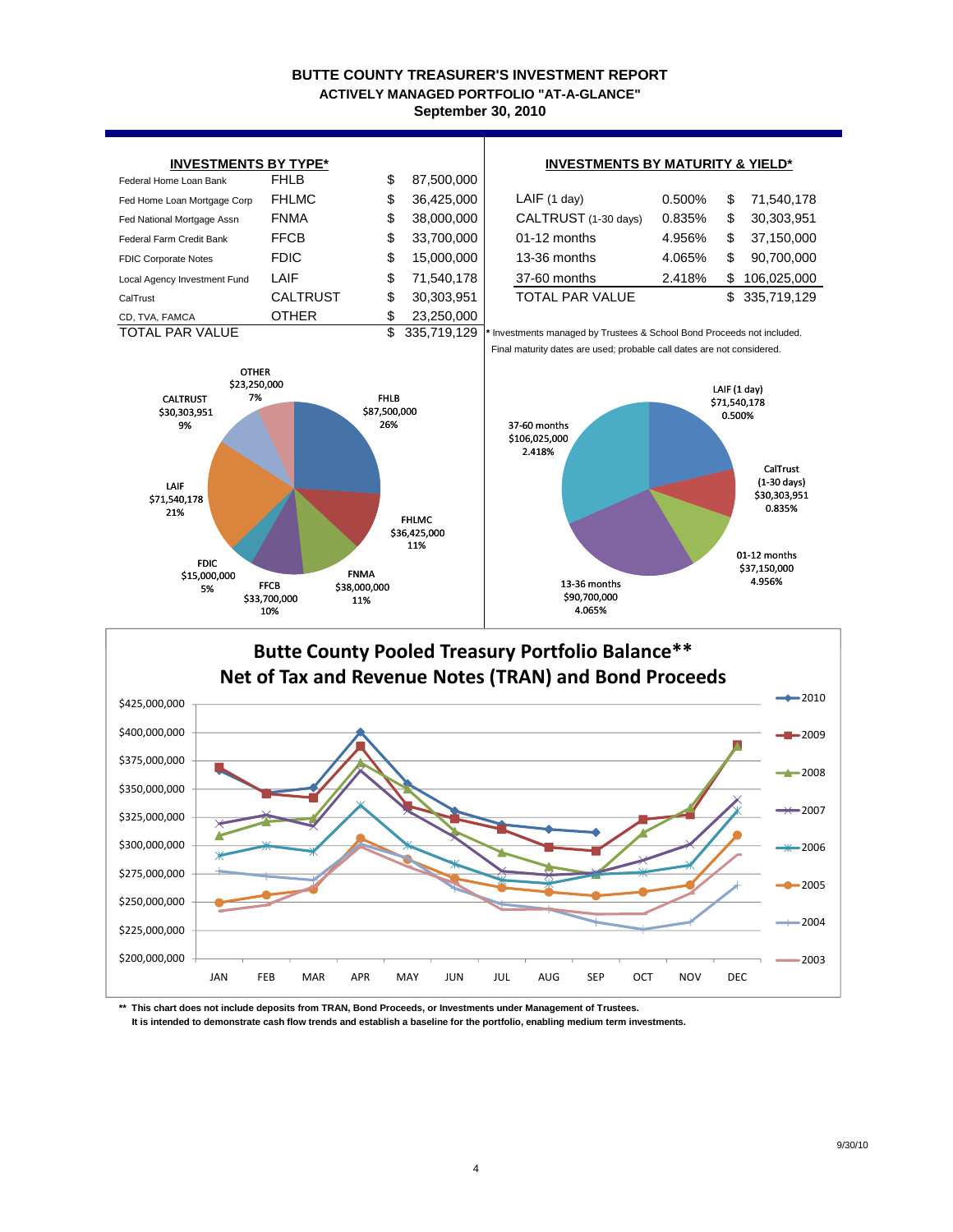#### **BUTTE COUNTY TREASURER'S INVESTMENT REPORT September 30, 2010 ACTIVELY MANAGED PORTFOLIO "AT-A-GLANCE"**



## \$200,000,000 \$225,000,000 JAN FEB MAR APR MAY JUN JUL AUG SEP OCT NOV DEC

**\*\* This chart does not include deposits from TRAN, Bond Proceeds, or Investments under Management of Trustees. It is intended to demonstrate cash flow trends and establish a baseline for the portfolio, enabling medium term investments.**

\$250,000,000 \$275,000,000

2005

2004

2003